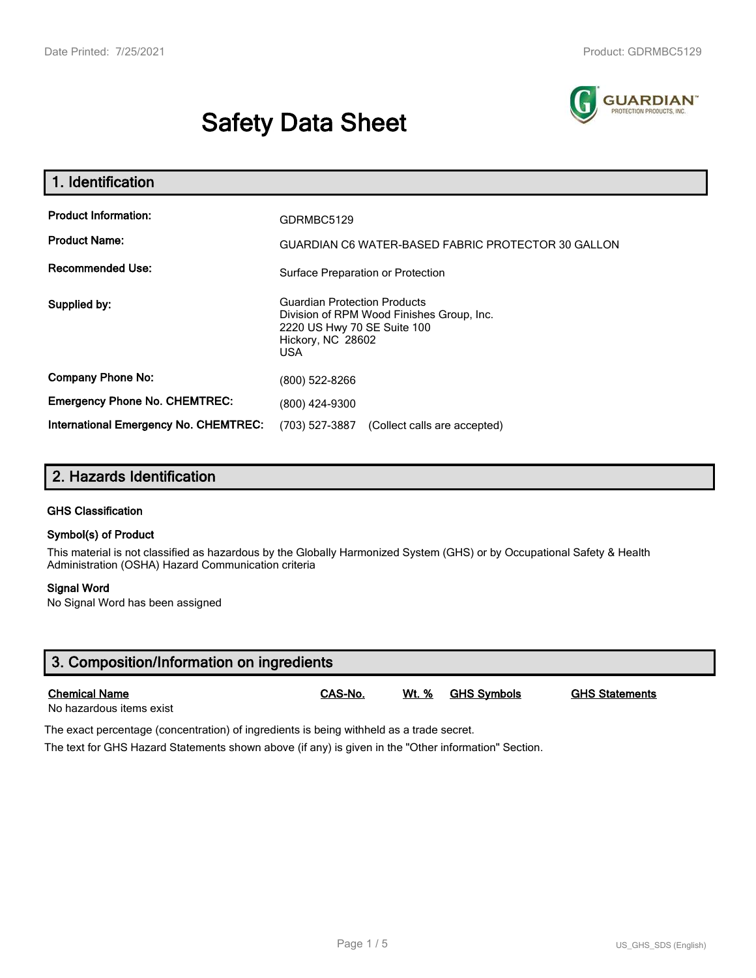# **Safety Data Sheet**



| 1. Identification                                                              |                                                                                                             |  |  |  |
|--------------------------------------------------------------------------------|-------------------------------------------------------------------------------------------------------------|--|--|--|
| <b>Product Information:</b><br><b>Product Name:</b><br><b>Recommended Use:</b> | GDRMBC5129<br>GUARDIAN C6 WATER-BASED FABRIC PROTECTOR 30 GALLON                                            |  |  |  |
| Supplied by:                                                                   | Surface Preparation or Protection<br><b>Guardian Protection Products</b>                                    |  |  |  |
|                                                                                | Division of RPM Wood Finishes Group, Inc.<br>2220 US Hwy 70 SE Suite 100<br>Hickory, NC 28602<br><b>USA</b> |  |  |  |
| <b>Company Phone No:</b>                                                       | (800) 522-8266                                                                                              |  |  |  |
| <b>Emergency Phone No. CHEMTREC:</b>                                           | (800) 424-9300                                                                                              |  |  |  |
| International Emergency No. CHEMTREC:                                          | (703) 527-3887<br>(Collect calls are accepted)                                                              |  |  |  |

## **2. Hazards Identification**

#### **GHS Classification**

#### **Symbol(s) of Product**

This material is not classified as hazardous by the Globally Harmonized System (GHS) or by Occupational Safety & Health Administration (OSHA) Hazard Communication criteria

#### **Signal Word**

No Signal Word has been assigned

| 3. Composition/Information on ingredients        |         |              |                    |                       |  |
|--------------------------------------------------|---------|--------------|--------------------|-----------------------|--|
| <b>Chemical Name</b><br>No hazardous items exist | CAS-No. | <u>Wt. %</u> | <u>GHS Symbols</u> | <b>GHS Statements</b> |  |

The exact percentage (concentration) of ingredients is being withheld as a trade secret.

The text for GHS Hazard Statements shown above (if any) is given in the "Other information" Section.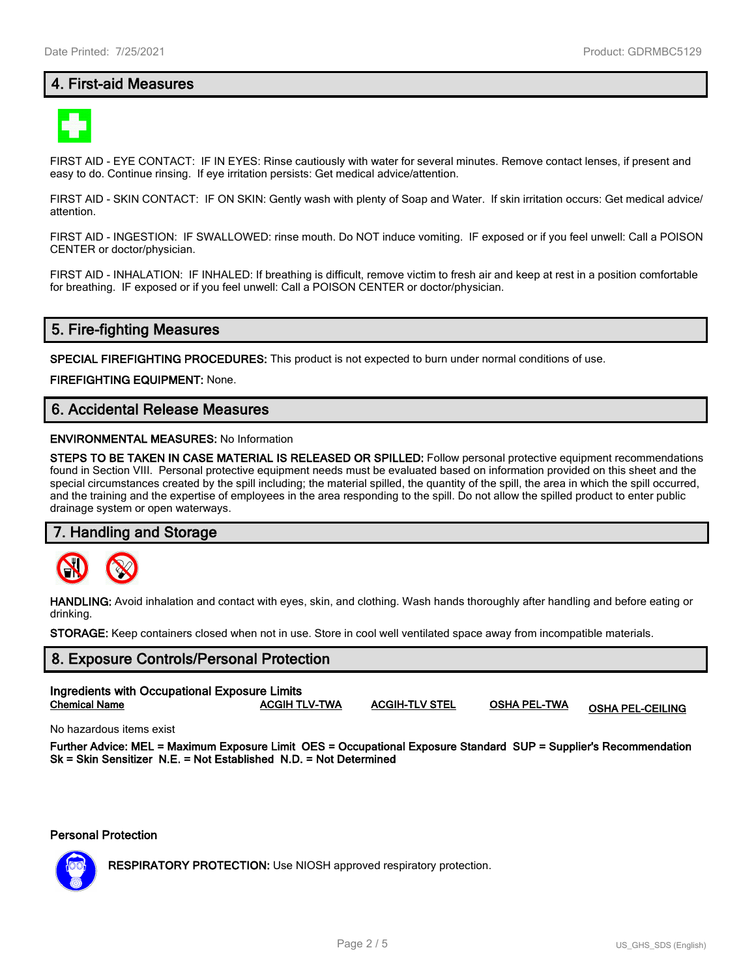#### **4. First-aid Measures**



FIRST AID - EYE CONTACT: IF IN EYES: Rinse cautiously with water for several minutes. Remove contact lenses, if present and easy to do. Continue rinsing. If eye irritation persists: Get medical advice/attention.

FIRST AID - SKIN CONTACT: IF ON SKIN: Gently wash with plenty of Soap and Water. If skin irritation occurs: Get medical advice/ attention.

FIRST AID - INGESTION: IF SWALLOWED: rinse mouth. Do NOT induce vomiting. IF exposed or if you feel unwell: Call a POISON CENTER or doctor/physician.

FIRST AID - INHALATION: IF INHALED: If breathing is difficult, remove victim to fresh air and keep at rest in a position comfortable for breathing. IF exposed or if you feel unwell: Call a POISON CENTER or doctor/physician.

#### **5. Fire-fighting Measures**

**SPECIAL FIREFIGHTING PROCEDURES:** This product is not expected to burn under normal conditions of use.

**FIREFIGHTING EQUIPMENT:** None.

#### **6. Accidental Release Measures**

#### **ENVIRONMENTAL MEASURES:** No Information

**STEPS TO BE TAKEN IN CASE MATERIAL IS RELEASED OR SPILLED:** Follow personal protective equipment recommendations found in Section VIII. Personal protective equipment needs must be evaluated based on information provided on this sheet and the special circumstances created by the spill including; the material spilled, the quantity of the spill, the area in which the spill occurred, and the training and the expertise of employees in the area responding to the spill. Do not allow the spilled product to enter public drainage system or open waterways.

#### **7. Handling and Storage**



**HANDLING:** Avoid inhalation and contact with eyes, skin, and clothing. Wash hands thoroughly after handling and before eating or drinking.

**STORAGE:** Keep containers closed when not in use. Store in cool well ventilated space away from incompatible materials.

## **8. Exposure Controls/Personal Protection Ingredients with Occupational Exposure Limits Chemical Name ACGIH TLV-TWA ACGIH-TLV STEL OSHA PEL-TWA OSHA PEL-CEILING**

No hazardous items exist

**Further Advice: MEL = Maximum Exposure Limit OES = Occupational Exposure Standard SUP = Supplier's Recommendation Sk = Skin Sensitizer N.E. = Not Established N.D. = Not Determined**

**Personal Protection**



**RESPIRATORY PROTECTION:** Use NIOSH approved respiratory protection.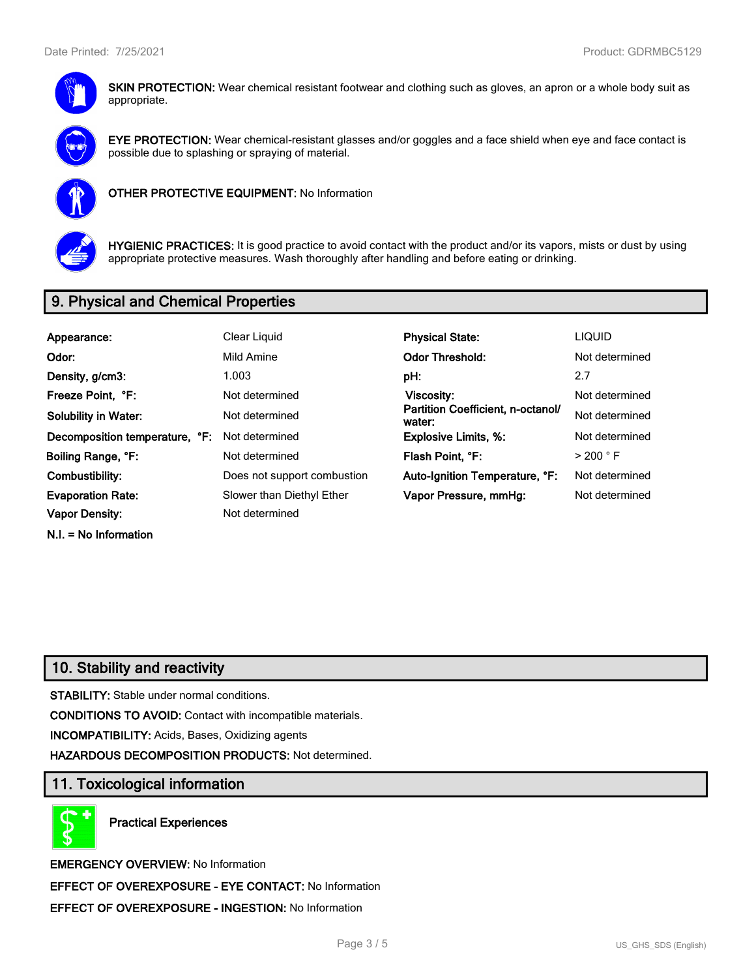

**SKIN PROTECTION:** Wear chemical resistant footwear and clothing such as gloves, an apron or a whole body suit as appropriate.



**EYE PROTECTION:** Wear chemical-resistant glasses and/or goggles and a face shield when eye and face contact is possible due to splashing or spraying of material.



**OTHER PROTECTIVE EQUIPMENT:** No Information



**HYGIENIC PRACTICES:** It is good practice to avoid contact with the product and/or its vapors, mists or dust by using appropriate protective measures. Wash thoroughly after handling and before eating or drinking.

## **9. Physical and Chemical Properties**

| Appearance:                    | Clear Liquid                | <b>Physical State:</b>                      | <b>LIQUID</b>        |
|--------------------------------|-----------------------------|---------------------------------------------|----------------------|
| Odor:                          | Mild Amine                  | <b>Odor Threshold:</b>                      | Not determined       |
| Density, g/cm3:                | 1.003                       | pH:                                         | 2.7                  |
| Freeze Point, °F:              | Not determined              | Viscosity:                                  | Not determined       |
| <b>Solubility in Water:</b>    | Not determined              | Partition Coefficient, n-octanol/<br>water: | Not determined       |
| Decomposition temperature, °F: | Not determined              | <b>Explosive Limits, %:</b>                 | Not determined       |
| Boiling Range, °F:             | Not determined              | Flash Point. °F:                            | $>$ 200 $^{\circ}$ F |
| Combustibility:                | Does not support combustion | Auto-Ignition Temperature, °F:              | Not determined       |
| <b>Evaporation Rate:</b>       | Slower than Diethyl Ether   | Vapor Pressure, mmHg:                       | Not determined       |
| <b>Vapor Density:</b>          | Not determined              |                                             |                      |
| $N.I. = No$ Information        |                             |                                             |                      |

## **10. Stability and reactivity**

**STABILITY:** Stable under normal conditions.

**CONDITIONS TO AVOID:** Contact with incompatible materials.

**INCOMPATIBILITY:** Acids, Bases, Oxidizing agents

**HAZARDOUS DECOMPOSITION PRODUCTS:** Not determined.

#### **11. Toxicological information**

**Practical Experiences**

**EMERGENCY OVERVIEW:** No Information **EFFECT OF OVEREXPOSURE - EYE CONTACT:** No Information **EFFECT OF OVEREXPOSURE - INGESTION:** No Information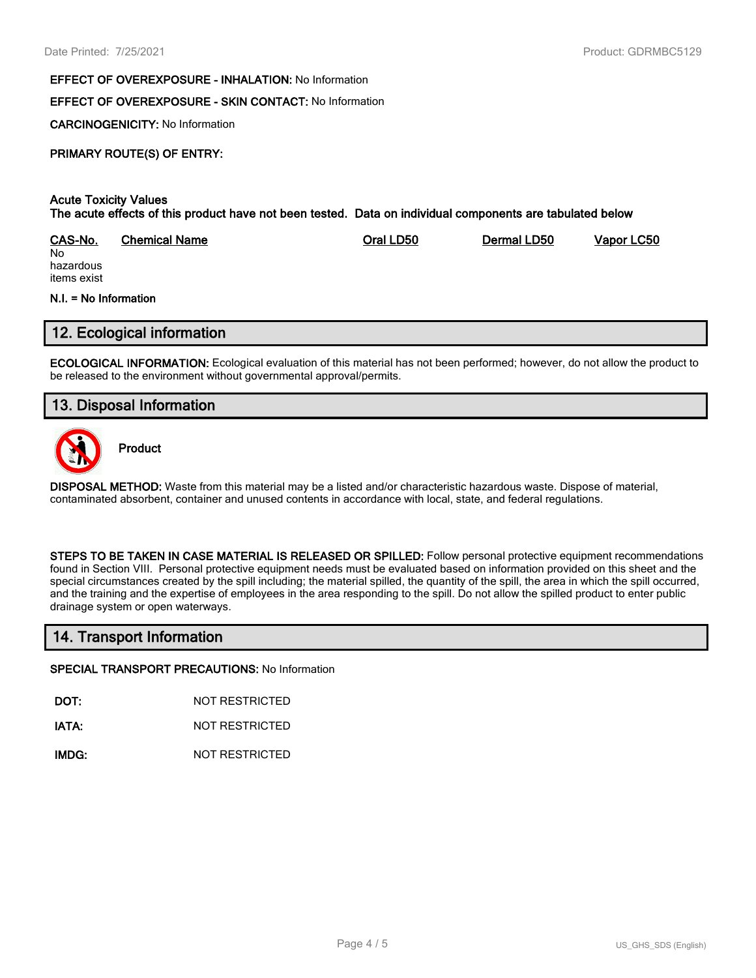#### **EFFECT OF OVEREXPOSURE - INHALATION:** No Information

#### **EFFECT OF OVEREXPOSURE - SKIN CONTACT:** No Information

**CARCINOGENICITY:** No Information

#### **PRIMARY ROUTE(S) OF ENTRY:**

#### **Acute Toxicity Values The acute effects of this product have not been tested. Data on individual components are tabulated below**

| CAS-No.   | <b>Chemical Name</b> | Oral LD50 | Dermal LD50 | Vapor LC50 |
|-----------|----------------------|-----------|-------------|------------|
| No        |                      |           |             |            |
| hazardous |                      |           |             |            |

hazardous items exist

#### **N.I. = No Information**

#### **12. Ecological information**

**ECOLOGICAL INFORMATION:** Ecological evaluation of this material has not been performed; however, do not allow the product to be released to the environment without governmental approval/permits.

## **13. Disposal Information**



**Product**

**DISPOSAL METHOD:** Waste from this material may be a listed and/or characteristic hazardous waste. Dispose of material, contaminated absorbent, container and unused contents in accordance with local, state, and federal regulations.

**STEPS TO BE TAKEN IN CASE MATERIAL IS RELEASED OR SPILLED:** Follow personal protective equipment recommendations found in Section VIII. Personal protective equipment needs must be evaluated based on information provided on this sheet and the special circumstances created by the spill including; the material spilled, the quantity of the spill, the area in which the spill occurred, and the training and the expertise of employees in the area responding to the spill. Do not allow the spilled product to enter public drainage system or open waterways.

## **14. Transport Information**

#### **SPECIAL TRANSPORT PRECAUTIONS:** No Information

**DOT:** NOT RESTRICTED

**IATA:** NOT RESTRICTED

**IMDG:** NOT RESTRICTED